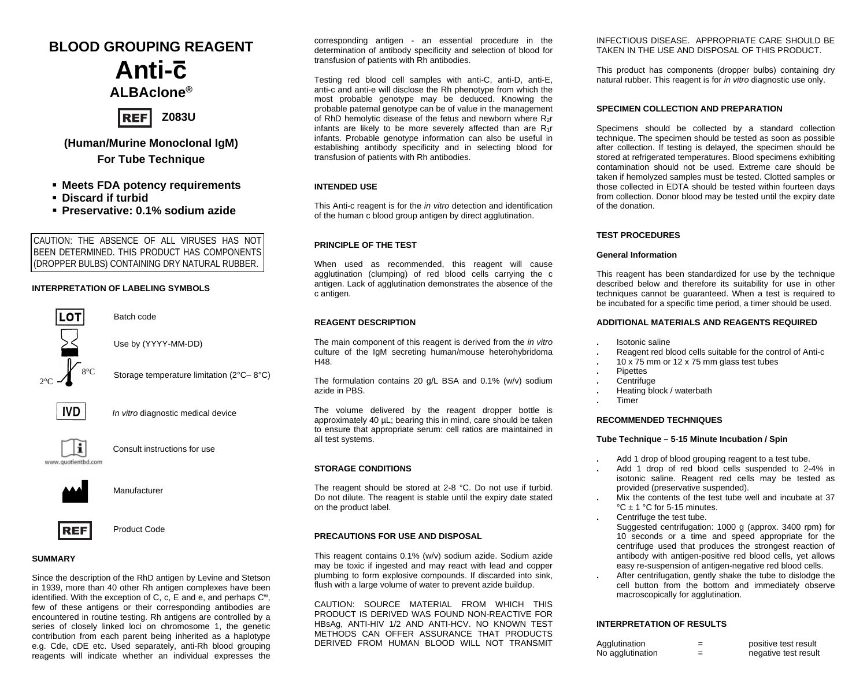# **BLOOD GROUPING REAGENT Anti-c ALBAclone®**



## **(Human/Murine Monoclonal IgM) For Tube Technique**

- **Meets FDA potency requirements**
- **Discard if turbid**
- **Preservative: 0.1% sodium azide**

CAUTION: THE ABSENCE OF ALL VIRUSES HAS NOT **BEEN DETERMINED. THIS PRODUCT HAS COMPONENTS** (DROPPER BULBS) CONTAINING DRY NATURAL RUBBER.

#### **INTERPRETATION OF LABELING SYMBOLS**

Batch code



Use by (YYYY-MM-DD)

Storage temperature limitation (2°C– 8°C)



*In vitro* diagnostic medical device



Consult instructions for use



Manufacturer



REF Product Code

#### **SUMMARY**

Since the description of the RhD antigen by Levine and Stetson in 1939, more than 40 other Rh antigen complexes have been identified. With the exception of C, c, E and e, and perhaps Cw, few of these antigens or their corresponding antibodies are encountered in routine testing. Rh antigens are controlled by a series of closely linked loci on chromosome 1, the genetic contribution from each parent being inherited as a haplotype e.g. Cde, cDE etc. Used separately, anti-Rh blood grouping reagents will indicate whether an individual expresses the

corresponding antigen - an essential procedure in the determination of antibody specificity and selection of blood for transfusion of patients with Rh antibodies.

Testing red blood cell samples with anti-C, anti-D, anti-E, anti-c and anti-e will disclose the Rh phenotype from which the most probable genotype may be deduced. Knowing the probable paternal genotype can be of value in the management of RhD hemolytic disease of the fetus and newborn where R<sub>2</sub>r infants are likely to be more severely affected than are R<sub>1</sub>r infants. Probable genotype information can also be useful in establishing antibody specificity and in selecting blood for transfusion of patients with Rh antibodies.

### **INTENDED USE**

This Anti-c reagent is for the *in vitro* detection and identification of the human c blood group antigen by direct agglutination.

#### **PRINCIPLE OF THE TEST**

When used as recommended, this reagent will cause agglutination (clumping) of red blood cells carrying the c antigen. Lack of agglutination demonstrates the absence of the c antigen.

#### **REAGENT DESCRIPTION**

The main component of this reagent is derived from the *in vitro* culture of the IgM secreting human/mouse heterohybridoma  $H\Delta$ 8.

The formulation contains 20 g/L BSA and 0.1% (w/v) sodium azide in PBS.

The volume delivered by the reagent dropper bottle is approximately 40 µL; bearing this in mind, care should be taken to ensure that appropriate serum: cell ratios are maintained in all test systems.

#### **STORAGE CONDITIONS**

The reagent should be stored at 2-8 °C. Do not use if turbid. Do not dilute. The reagent is stable until the expiry date stated on the product label.

#### **PRECAUTIONS FOR USE AND DISPOSAL**

This reagent contains 0.1% (w/v) sodium azide. Sodium azide may be toxic if ingested and may react with lead and copper plumbing to form explosive compounds. If discarded into sink, flush with a large volume of water to prevent azide buildup.

CAUTION: SOURCE MATERIAL FROM WHICH THIS PRODUCT IS DERIVED WAS FOUND NON-REACTIVE FOR HBsAg, ANTI-HIV 1/2 AND ANTI-HCV. NO KNOWN TEST METHODS CAN OFFER ASSURANCE THAT PRODUCTS DERIVED FROM HUMAN BLOOD WILL NOT TRANSMIT INFECTIOUS DISEASE. APPROPRIATE CARE SHOULD BE TAKEN IN THE USE AND DISPOSAL OF THIS PRODUCT.

This product has components (dropper bulbs) containing dry natural rubber. This reagent is for *in vitro* diagnostic use only.

### **SPECIMEN COLLECTION AND PREPARATION**

Specimens should be collected by a standard collection technique. The specimen should be tested as soon as possible after collection. If testing is delayed, the specimen should be stored at refrigerated temperatures. Blood specimens exhibiting contamination should not be used. Extreme care should be taken if hemolyzed samples must be tested. Clotted samples or those collected in EDTA should be tested within fourteen days from collection. Donor blood may be tested until the expiry date of the donation.

#### **TEST PROCEDURES**

#### **General Information**

This reagent has been standardized for use by the technique described below and therefore its suitability for use in other techniques cannot be guaranteed. When a test is required to be incubated for a specific time period, a timer should be used.

#### **ADDITIONAL MATERIALS AND REAGENTS REQUIRED**

- **.** Isotonic saline
- **.** Reagent red blood cells suitable for the control of Anti-c
	- **.** 10 x 75 mm or 12 x 75 mm glass test tubes
- **.** Pipettes
- **.** Centrifuge
- **.** Heating block / waterbath
- **.** Timer

#### **RECOMMENDED TECHNIQUES**

#### **Tube Technique – 5-15 Minute Incubation / Spin**

- **.** Add 1 drop of blood grouping reagent to a test tube.
- **.** Add 1 drop of red blood cells suspended to 2-4% in isotonic saline. Reagent red cells may be tested as provided (preservative suspended).
- **.** Mix the contents of the test tube well and incubate at 37 °C ± 1 °C for 5-15 minutes.
- **.** Centrifuge the test tube.
- Suggested centrifugation: 1000 g (approx. 3400 rpm) for 10 seconds or a time and speed appropriate for the centrifuge used that produces the strongest reaction of antibody with antigen-positive red blood cells, yet allows easy re-suspension of antigen-negative red blood cells.
- **.** After centrifugation, gently shake the tube to dislodge the cell button from the bottom and immediately observe macroscopically for agglutination.

#### **INTERPRETATION OF RESULTS**

| Agglutination    | -      | positive test result |
|------------------|--------|----------------------|
| No agglutination | -<br>- | negative test result |